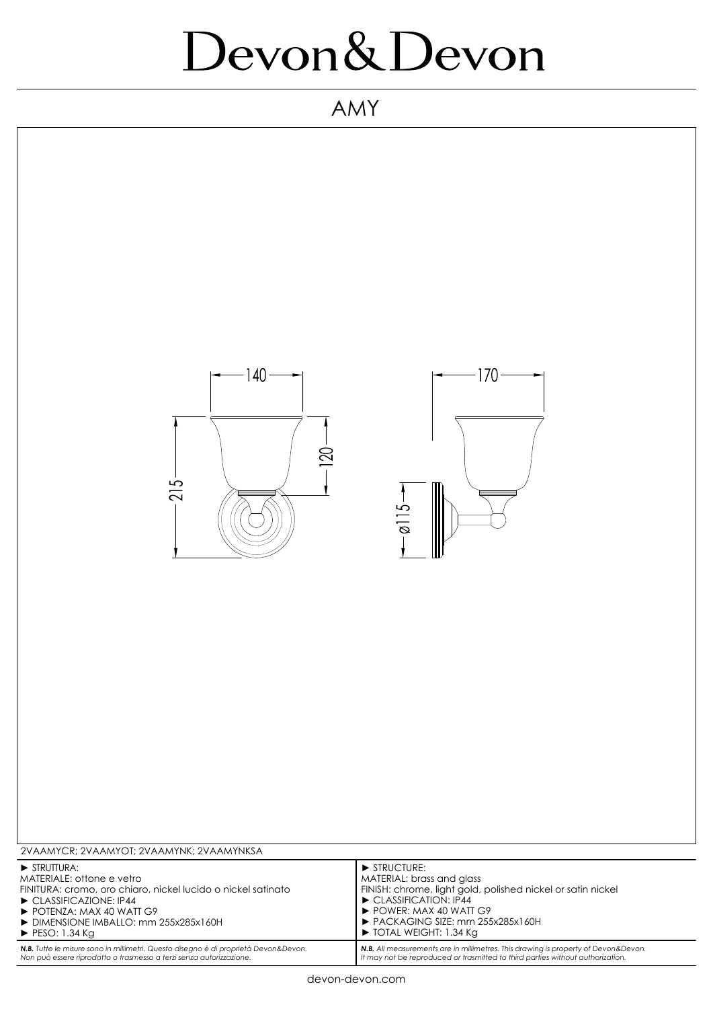## Devon&Devon

AMY



*Non può essere riprodotto o trasmesso a terzi senza autorizzazione.*